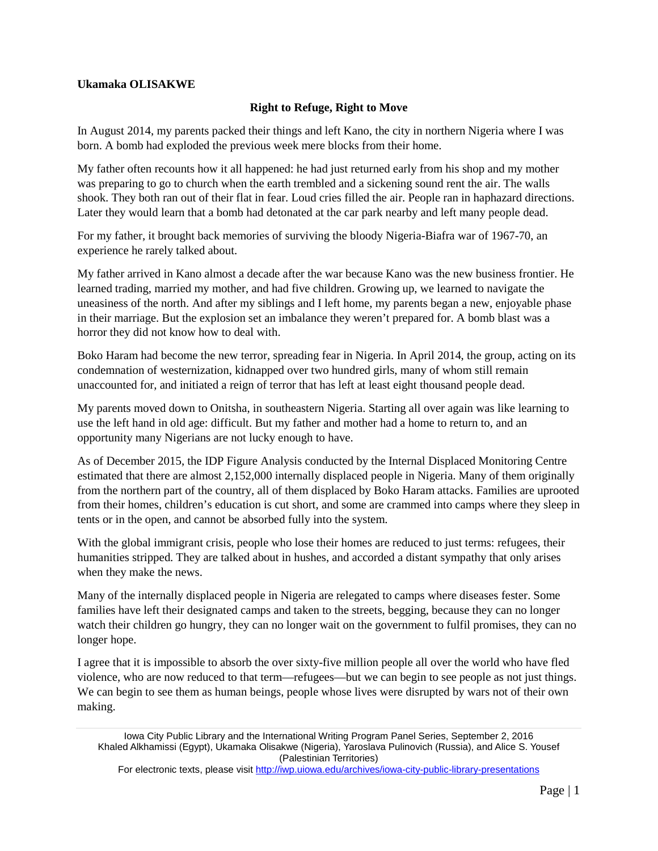## **Ukamaka OLISAKWE**

## **Right to Refuge, Right to Move**

In August 2014, my parents packed their things and left Kano, the city in northern Nigeria where I was born. A bomb had exploded the previous week mere blocks from their home.

My father often recounts how it all happened: he had just returned early from his shop and my mother was preparing to go to church when the earth trembled and a sickening sound rent the air. The walls shook. They both ran out of their flat in fear. Loud cries filled the air. People ran in haphazard directions. Later they would learn that a bomb had detonated at the car park nearby and left many people dead.

For my father, it brought back memories of surviving the bloody Nigeria-Biafra war of 1967-70, an experience he rarely talked about.

My father arrived in Kano almost a decade after the war because Kano was the new business frontier. He learned trading, married my mother, and had five children. Growing up, we learned to navigate the uneasiness of the north. And after my siblings and I left home, my parents began a new, enjoyable phase in their marriage. But the explosion set an imbalance they weren't prepared for. A bomb blast was a horror they did not know how to deal with.

Boko Haram had become the new terror, spreading fear in Nigeria. In April 2014, the group, acting on its condemnation of westernization, kidnapped over two hundred girls, many of whom still remain unaccounted for, and initiated a reign of terror that has left at least eight thousand people dead.

My parents moved down to Onitsha, in southeastern Nigeria. Starting all over again was like learning to use the left hand in old age: difficult. But my father and mother had a home to return to, and an opportunity many Nigerians are not lucky enough to have.

As of December 2015, the IDP Figure Analysis conducted by the Internal Displaced Monitoring Centre estimated that there are almost 2,152,000 internally displaced people in Nigeria. Many of them originally from the northern part of the country, all of them displaced by Boko Haram attacks. Families are uprooted from their homes, children's education is cut short, and some are crammed into camps where they sleep in tents or in the open, and cannot be absorbed fully into the system.

With the global immigrant crisis, people who lose their homes are reduced to just terms: refugees, their humanities stripped. They are talked about in hushes, and accorded a distant sympathy that only arises when they make the news.

Many of the internally displaced people in Nigeria are relegated to camps where diseases fester. Some families have left their designated camps and taken to the streets, begging, because they can no longer watch their children go hungry, they can no longer wait on the government to fulfil promises, they can no longer hope.

I agree that it is impossible to absorb the over sixty-five million people all over the world who have fled violence, who are now reduced to that term—refugees—but we can begin to see people as not just things. We can begin to see them as human beings, people whose lives were disrupted by wars not of their own making.

For electronic texts, please visit<http://iwp.uiowa.edu/archives/iowa-city-public-library-presentations>

Iowa City Public Library and the International Writing Program Panel Series, September 2, 2016 Khaled Alkhamissi (Egypt), Ukamaka Olisakwe (Nigeria), Yaroslava Pulinovich (Russia), and Alice S. Yousef (Palestinian Territories)